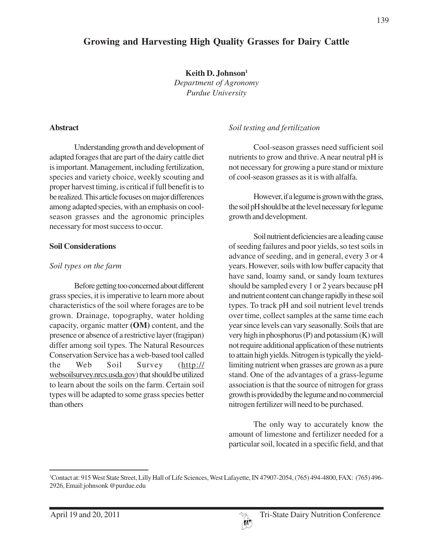## **Growing and Harvesting High Quality Grasses for Dairy Cattle**

**Keith D. Johnson1** *Department of Agronomy Purdue University*

#### **Abstract**

Understanding growth and development of adapted forages that are part of the dairy cattle diet is important. Management, including fertilization, species and variety choice, weekly scouting and proper harvest timing, is critical if full benefit is to be realized. This article focuses on major differences among adapted species, with an emphasis on coolseason grasses and the agronomic principles necessary for most success to occur.

#### **Soil Considerations**

#### *Soil types on the farm*

Before getting too concerned about different grass species, it is imperative to learn more about characteristics of the soil where forages are to be grown. Drainage, topography, water holding capacity, organic matter **(OM)** content, and the presence or absence of a restrictive layer (fragipan) differ among soil types. The Natural Resources Conservation Service has a web-based tool called the Web Soil Survey (http:// websoilsurvey.nrcs.usda.gov) that should be utilized to learn about the soils on the farm. Certain soil types will be adapted to some grass species better than others

#### *Soil testing and fertilization*

Cool-season grasses need sufficient soil nutrients to grow and thrive. A near neutral pH is not necessary for growing a pure stand or mixture of cool-season grasses as it is with alfalfa.

However, if a legume is grown with the grass, the soil pH should be at the level necessary for legume growth and development.

Soil nutrient deficiencies are a leading cause of seeding failures and poor yields, so test soils in advance of seeding, and in general, every 3 or 4 years. However, soils with low buffer capacity that have sand, loamy sand, or sandy loam textures should be sampled every 1 or 2 years because pH and nutrient content can change rapidly in these soil types. To track pH and soil nutrient level trends over time, collect samples at the same time each year since levels can vary seasonally. Soils that are very high in phosphorus (P) and potassium (K) will not require additional application of these nutrients to attain high yields. Nitrogen is typically the yieldlimiting nutrient when grasses are grown as a pure stand. One of the advantages of a grass-legume association is that the source of nitrogen for grass growth is provided by the legume and no commercial nitrogen fertilizer will need to be purchased.

The only way to accurately know the amount of limestone and fertilizer needed for a particular soil, located in a specific field, and that



<sup>1</sup> Contact at: 915 West State Street, Lilly Hall of Life Sciences, West Lafayette, IN 47907-2054, (765) 494-4800, FAX: (765) 496- 2926, Email:johnsonk @purdue.edu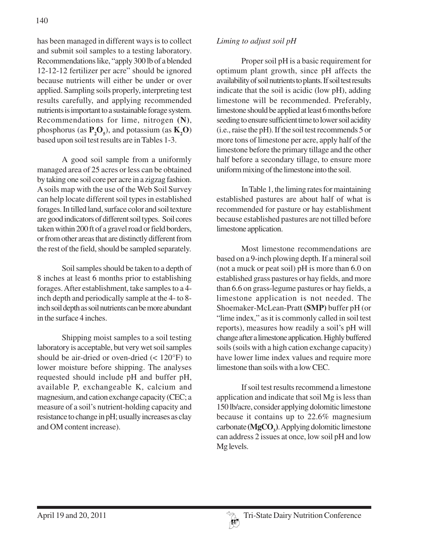has been managed in different ways is to collect and submit soil samples to a testing laboratory. Recommendations like, "apply 300 lb of a blended 12-12-12 fertilizer per acre" should be ignored because nutrients will either be under or over applied. Sampling soils properly, interpreting test results carefully, and applying recommended nutrients is important to a sustainable forage system. Recommendations for lime, nitrogen **(N)**, phosphorus (as  $\mathbf{P}_2\mathbf{O}_5$ ), and potassium (as  $\mathbf{K}_2\mathbf{O}$ ) based upon soil test results are in Tables 1-3.

A good soil sample from a uniformly managed area of 25 acres or less can be obtained by taking one soil core per acre in a zigzag fashion. A soils map with the use of the Web Soil Survey can help locate different soil types in established forages. In tilled land, surface color and soil texture are good indicators of different soil types. Soil cores taken within 200 ft of a gravel road or field borders, or from other areas that are distinctly different from the rest of the field, should be sampled separately.

Soil samples should be taken to a depth of 8 inches at least 6 months prior to establishing forages. After establishment, take samples to a 4 inch depth and periodically sample at the 4- to 8 inch soil depth as soil nutrients can be more abundant in the surface 4 inches.

Shipping moist samples to a soil testing laboratory is acceptable, but very wet soil samples should be air-dried or oven-dried (< 120°F) to lower moisture before shipping. The analyses requested should include pH and buffer pH, available P, exchangeable K, calcium and magnesium, and cation exchange capacity (CEC; a measure of a soil's nutrient-holding capacity and resistance to change in pH; usually increases as clay and OM content increase).

### *Liming to adjust soil pH*

Proper soil pH is a basic requirement for optimum plant growth, since pH affects the availability of soil nutrients to plants. If soil test results indicate that the soil is acidic (low pH), adding limestone will be recommended. Preferably, limestone should be applied at least 6 months before seeding to ensure sufficient time to lower soil acidity (i.e., raise the pH). If the soil test recommends 5 or more tons of limestone per acre, apply half of the limestone before the primary tillage and the other half before a secondary tillage, to ensure more uniform mixing of the limestone into the soil.

In Table 1, the liming rates for maintaining established pastures are about half of what is recommended for pasture or hay establishment because established pastures are not tilled before limestone application.

Most limestone recommendations are based on a 9-inch plowing depth. If a mineral soil (not a muck or peat soil) pH is more than 6.0 on established grass pastures or hay fields, and more than 6.6 on grass-legume pastures or hay fields, a limestone application is not needed. The Shoemaker-McLean-Pratt **(SMP)** buffer pH (or "lime index," as it is commonly called in soil test reports), measures how readily a soil's pH will change after a limestone application. Highly buffered soils (soils with a high cation exchange capacity) have lower lime index values and require more limestone than soils with a low CEC.

If soil test results recommend a limestone application and indicate that soil Mg is less than 150 lb/acre, consider applying dolomitic limestone because it contains up to 22.6% magnesium carbonate (MgCO<sub>3</sub>). Applying dolomitic limestone can address 2 issues at once, low soil pH and low Mg levels.

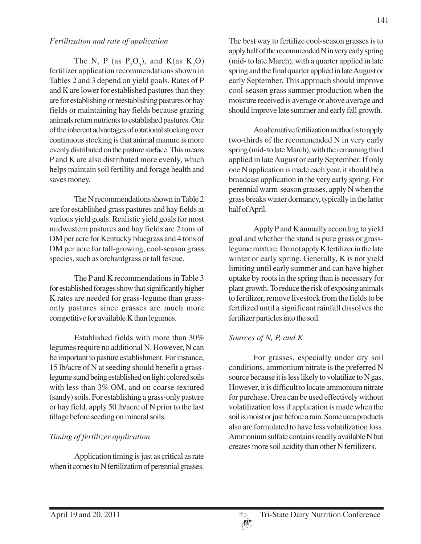#### *Fertilization and rate of application*

The N, P (as  $P_2O_5$ ), and K(as K<sub>2</sub>O) fertilizer application recommendations shown in Tables 2 and 3 depend on yield goals. Rates of P and K are lower for established pastures than they are for establishing or reestablishing pastures or hay fields or maintaining hay fields because grazing animals return nutrients to established pastures. One of the inherent advantages of rotational stocking over continuous stocking is that animal manure is more evenly distributed on the pasture surface. This means P and K are also distributed more evenly, which helps maintain soil fertility and forage health and saves money.

The N recommendations shown in Table 2 are for established grass pastures and hay fields at various yield goals. Realistic yield goals for most midwestern pastures and hay fields are 2 tons of DM per acre for Kentucky bluegrass and 4 tons of DM per acre for tall-growing, cool-season grass species, such as orchardgrass or tall fescue.

The P and K recommendations in Table 3 for established forages show that significantly higher K rates are needed for grass-legume than grassonly pastures since grasses are much more competitive for available K than legumes.

Established fields with more than 30% legumes require no additional N. However, N can be important to pasture establishment. For instance, 15 lb/acre of N at seeding should benefit a grasslegume stand being established on light colored soils with less than 3% OM, and on coarse-textured (sandy) soils. For establishing a grass-only pasture or hay field, apply 50 lb/acre of N prior to the last tillage before seeding on mineral soils.

## *Timing of fertilizer application*

Application timing is just as critical as rate when it comes to N fertilization of perennial grasses.

The best way to fertilize cool-season grasses is to apply half of the recommended N in very early spring (mid- to late March), with a quarter applied in late spring and the final quarter applied in late August or early September. This approach should improve cool-season grass summer production when the moisture received is average or above average and should improve late summer and early fall growth.

An alternative fertilization method is to apply two-thirds of the recommended N in very early spring (mid- to late March), with the remaining third applied in late August or early September. If only one N application is made each year, it should be a broadcast application in the very early spring. For perennial warm-season grasses, apply N when the grass breaks winter dormancy, typically in the latter half of April.

Apply P and K annually according to yield goal and whether the stand is pure grass or grasslegume mixture. Do not apply K fertilizer in the late winter or early spring. Generally, K is not yield limiting until early summer and can have higher uptake by roots in the spring than is necessary for plant growth. To reduce the risk of exposing animals to fertilizer, remove livestock from the fields to be fertilized until a significant rainfall dissolves the fertilizer particles into the soil.

### *Sources of N, P, and K*

For grasses, especially under dry soil conditions, ammonium nitrate is the preferred N source because it is less likely to volatilize to N gas. However, it is difficult to locate ammonium nitrate for purchase. Urea can be used effectively without volatilization loss if application is made when the soil is moist or just before a rain. Some urea products also are formulated to have less volatilization loss. Ammonium sulfate contains readily available N but creates more soil acidity than other N fertilizers.

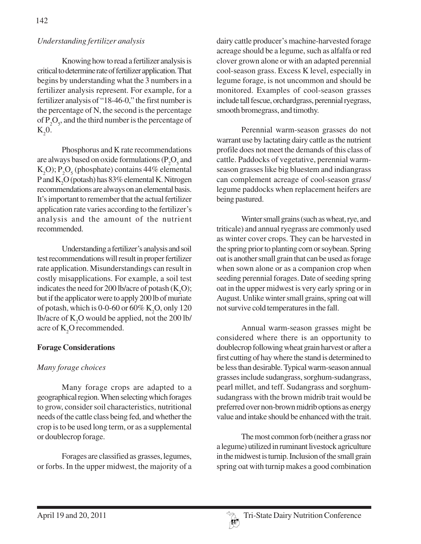### *Understanding fertilizer analysis*

Knowing how to read a fertilizer analysis is critical to determine rate of fertilizer application. That begins by understanding what the 3 numbers in a fertilizer analysis represent. For example, for a fertilizer analysis of "18-46-0," the first number is the percentage of N, the second is the percentage of  $P_2O_5$ , and the third number is the percentage of  $K_2$ 0.

Phosphorus and K rate recommendations are always based on oxide formulations ( $P_2O_5$  and  $K_2O$ ;  $P_2O_5$  (phosphate) contains 44% elemental P and  $K_2O$  (potash) has  $83\%$  elemental K. Nitrogen recommendations are always on an elemental basis. It's important to remember that the actual fertilizer application rate varies according to the fertilizer's analysis and the amount of the nutrient recommended.

Understanding a fertilizer's analysis and soil test recommendations will result in proper fertilizer rate application. Misunderstandings can result in costly misapplications. For example, a soil test indicates the need for 200 lb/acre of potash  $(K_2O)$ ; but if the applicator were to apply 200 lb of muriate of potash, which is 0-0-60 or 60%  $\mathrm{K}_2\mathrm{O},$  only 120 lb/acre of  $\text{K}_{2}\text{O}$  would be applied, not the 200 lb/ acre of  $K_2O$  recommended.

### **Forage Considerations**

### *Many forage choices*

Many forage crops are adapted to a geographical region. When selecting which forages to grow, consider soil characteristics, nutritional needs of the cattle class being fed, and whether the crop is to be used long term, or as a supplemental or doublecrop forage.

Forages are classified as grasses, legumes, or forbs. In the upper midwest, the majority of a dairy cattle producer's machine-harvested forage acreage should be a legume, such as alfalfa or red clover grown alone or with an adapted perennial cool-season grass. Excess K level, especially in legume forage, is not uncommon and should be monitored. Examples of cool-season grasses include tall fescue, orchardgrass, perennial ryegrass, smooth bromegrass, and timothy.

Perennial warm-season grasses do not warrant use by lactating dairy cattle as the nutrient profile does not meet the demands of this class of cattle. Paddocks of vegetative, perennial warmseason grasses like big bluestem and indiangrass can complement acreage of cool-season grass/ legume paddocks when replacement heifers are being pastured.

Winter small grains (such as wheat, rye, and triticale) and annual ryegrass are commonly used as winter cover crops. They can be harvested in the spring prior to planting corn or soybean. Spring oat is another small grain that can be used as forage when sown alone or as a companion crop when seeding perennial forages. Date of seeding spring oat in the upper midwest is very early spring or in August. Unlike winter small grains, spring oat will not survive cold temperatures in the fall.

Annual warm-season grasses might be considered where there is an opportunity to doublecrop following wheat grain harvest or after a first cutting of hay where the stand is determined to be less than desirable. Typical warm-season annual grasses include sudangrass, sorghum-sudangrass, pearl millet, and teff. Sudangrass and sorghumsudangrass with the brown midrib trait would be preferred over non-brown midrib options as energy value and intake should be enhanced with the trait.

The most common forb (neither a grass nor a legume) utilized in ruminant livestock agriculture in the midwest is turnip. Inclusion of the small grain spring oat with turnip makes a good combination

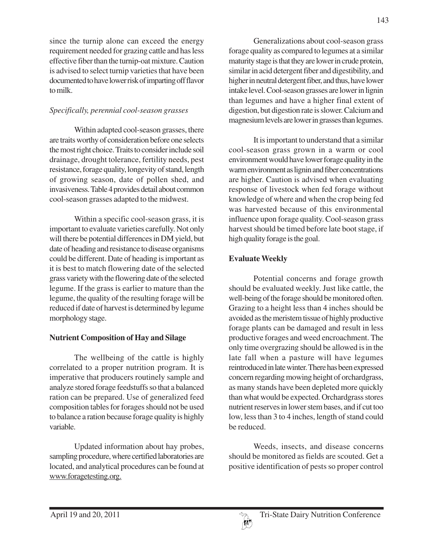since the turnip alone can exceed the energy requirement needed for grazing cattle and has less effective fiber than the turnip-oat mixture. Caution is advised to select turnip varieties that have been documented to have lower risk of imparting off flavor to milk.

## *Specifically, perennial cool-season grasses*

Within adapted cool-season grasses, there are traits worthy of consideration before one selects the most right choice. Traits to consider include soil drainage, drought tolerance, fertility needs, pest resistance, forage quality, longevity of stand, length of growing season, date of pollen shed, and invasiveness. Table 4 provides detail about common cool-season grasses adapted to the midwest.

Within a specific cool-season grass, it is important to evaluate varieties carefully. Not only will there be potential differences in DM yield, but date of heading and resistance to disease organisms could be different. Date of heading is important as it is best to match flowering date of the selected grass variety with the flowering date of the selected legume. If the grass is earlier to mature than the legume, the quality of the resulting forage will be reduced if date of harvest is determined by legume morphology stage.

## **Nutrient Composition of Hay and Silage**

The wellbeing of the cattle is highly correlated to a proper nutrition program. It is imperative that producers routinely sample and analyze stored forage feedstuffs so that a balanced ration can be prepared. Use of generalized feed composition tables for forages should not be used to balance a ration because forage quality is highly variable.

Updated information about hay probes, sampling procedure, where certified laboratories are located, and analytical procedures can be found at www.foragetesting.org.

Generalizations about cool-season grass forage quality as compared to legumes at a similar maturity stage is that they are lower in crude protein, similar in acid detergent fiber and digestibility, and higher in neutral detergent fiber, and thus, have lower intake level. Cool-season grasses are lower in lignin than legumes and have a higher final extent of digestion, but digestion rate is slower. Calcium and magnesium levels are lower in grasses than legumes.

It is important to understand that a similar cool-season grass grown in a warm or cool environment would have lower forage quality in the warm environment as lignin and fiber concentrations are higher. Caution is advised when evaluating response of livestock when fed forage without knowledge of where and when the crop being fed was harvested because of this environmental influence upon forage quality. Cool-season grass harvest should be timed before late boot stage, if high quality forage is the goal.

# **Evaluate Weekly**

Potential concerns and forage growth should be evaluated weekly. Just like cattle, the well-being of the forage should be monitored often. Grazing to a height less than 4 inches should be avoided as the meristem tissue of highly productive forage plants can be damaged and result in less productive forages and weed encroachment. The only time overgrazing should be allowed is in the late fall when a pasture will have legumes reintroduced in late winter. There has been expressed concern regarding mowing height of orchardgrass, as many stands have been depleted more quickly than what would be expected. Orchardgrass stores nutrient reserves in lower stem bases, and if cut too low, less than 3 to 4 inches, length of stand could be reduced.

Weeds, insects, and disease concerns should be monitored as fields are scouted. Get a positive identification of pests so proper control

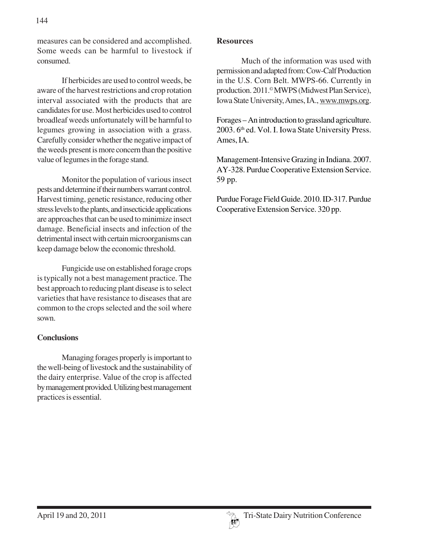measures can be considered and accomplished. Some weeds can be harmful to livestock if consumed.

If herbicides are used to control weeds, be aware of the harvest restrictions and crop rotation interval associated with the products that are candidates for use. Most herbicides used to control broadleaf weeds unfortunately will be harmful to legumes growing in association with a grass. Carefully consider whether the negative impact of the weeds present is more concern than the positive value of legumes in the forage stand.

Monitor the population of various insect pests and determine if their numbers warrant control. Harvest timing, genetic resistance, reducing other stress levels to the plants, and insecticide applications are approaches that can be used to minimize insect damage. Beneficial insects and infection of the detrimental insect with certain microorganisms can keep damage below the economic threshold.

Fungicide use on established forage crops is typically not a best management practice. The best approach to reducing plant disease is to select varieties that have resistance to diseases that are common to the crops selected and the soil where sown.

### **Conclusions**

Managing forages properly is important to the well-being of livestock and the sustainability of the dairy enterprise. Value of the crop is affected by management provided. Utilizing best management practices is essential.

#### **Resources**

Much of the information was used with permission and adapted from: Cow-Calf Production in the U.S. Corn Belt. MWPS-66. Currently in production. 2011.© MWPS (Midwest Plan Service), Iowa State University, Ames, IA., www.mwps.org.

Forages – An introduction to grassland agriculture. 2003. 6<sup>th</sup> ed. Vol. I. Iowa State University Press. Ames, IA.

Management-Intensive Grazing in Indiana. 2007. AY-328. Purdue Cooperative Extension Service. 59 pp.

Purdue Forage Field Guide. 2010. ID-317. Purdue Cooperative Extension Service. 320 pp.

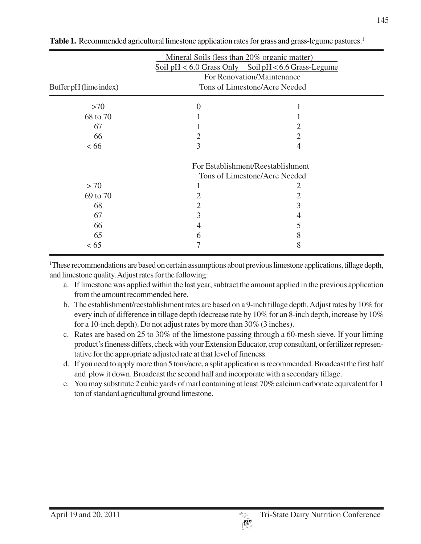|                        | Mineral Soils (less than 20% organic matter)                | Soil pH < 6.0 Grass Only Soil pH < 6.6 Grass-Legume |  |  |  |  |
|------------------------|-------------------------------------------------------------|-----------------------------------------------------|--|--|--|--|
| Buffer pH (lime index) | For Renovation/Maintenance<br>Tons of Limestone/Acre Needed |                                                     |  |  |  |  |
|                        |                                                             |                                                     |  |  |  |  |
| >70                    | $\Omega$                                                    |                                                     |  |  |  |  |
| 68 to 70               |                                                             |                                                     |  |  |  |  |
| 67                     |                                                             |                                                     |  |  |  |  |
| 66                     | 2                                                           | 2                                                   |  |  |  |  |
| <66                    | 3                                                           |                                                     |  |  |  |  |
|                        |                                                             | For Establishment/Reestablishment                   |  |  |  |  |
|                        |                                                             | Tons of Limestone/Acre Needed                       |  |  |  |  |
| > 70                   |                                                             |                                                     |  |  |  |  |
| 69 to 70               |                                                             | 2                                                   |  |  |  |  |
| 68                     | 2                                                           | 3                                                   |  |  |  |  |
| 67                     | 3                                                           |                                                     |  |  |  |  |
| 66                     | 4                                                           |                                                     |  |  |  |  |
| 65                     | h                                                           | 8                                                   |  |  |  |  |
| < 65                   |                                                             | 8                                                   |  |  |  |  |

Table 1. Recommended agricultural limestone application rates for grass and grass-legume pastures.<sup>1</sup>

1 These recommendations are based on certain assumptions about previous limestone applications, tillage depth, and limestone quality. Adjust rates for the following:

- a. If limestone was applied within the last year, subtract the amount applied in the previous application from the amount recommended here.
- b. The establishment/reestablishment rates are based on a 9-inch tillage depth. Adjust rates by 10% for every inch of difference in tillage depth (decrease rate by 10% for an 8-inch depth, increase by 10% for a 10-inch depth). Do not adjust rates by more than 30% (3 inches).
- c. Rates are based on 25 to 30% of the limestone passing through a 60-mesh sieve. If your liming product's fineness differs, check with your Extension Educator, crop consultant, or fertilizer representative for the appropriate adjusted rate at that level of fineness.
- d. If you need to apply more than 5 tons/acre, a split application is recommended. Broadcast the first half and plow it down. Broadcast the second half and incorporate with a secondary tillage.
- e. You may substitute 2 cubic yards of marl containing at least 70% calcium carbonate equivalent for 1 ton of standard agricultural ground limestone.

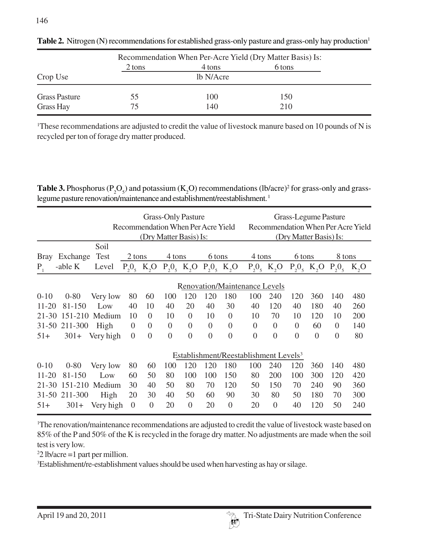|                      | Recommendation When Per-Acre Yield (Dry Matter Basis) Is: |           |        |  |  |  |  |
|----------------------|-----------------------------------------------------------|-----------|--------|--|--|--|--|
|                      | 2 tons                                                    | 4 tons    | 6 tons |  |  |  |  |
| Crop Use             |                                                           | lb N/Acre |        |  |  |  |  |
| <b>Grass Pasture</b> | 55                                                        | 100       | 150    |  |  |  |  |
| Grass Hay            | 75                                                        | 140       | 210    |  |  |  |  |

Table 2. Nitrogen (N) recommendations for established grass-only pasture and grass-only hay production<sup>1</sup>

<sup>1</sup>These recommendations are adjusted to credit the value of livestock manure based on 10 pounds of N is recycled per ton of forage dry matter produced.

**Table 3.** Phosphorus ( $P_2O_5$ ) and potassium ( $K_2O$ ) recommendations (lb/acre)<sup>2</sup> for grass-only and grasslegume pasture renovation/maintenance and establishment/reestablishment.<sup>1</sup>

|             |          |             |                           |                | <b>Grass-Only Pasture</b><br>Recommendation When Per Acre Yield<br>(Dry Matter Basis) Is: |                |                           |                |                                      |                           |                  | Grass-Legume Pasture<br>(Dry Matter Basis) Is: |                | Recommendation When Per Acre Yield |
|-------------|----------|-------------|---------------------------|----------------|-------------------------------------------------------------------------------------------|----------------|---------------------------|----------------|--------------------------------------|---------------------------|------------------|------------------------------------------------|----------------|------------------------------------|
|             |          | Soil        |                           |                |                                                                                           |                |                           |                |                                      |                           |                  |                                                |                |                                    |
| <b>Bray</b> | Exchange | <b>Test</b> | 2 tons                    |                | 4 tons                                                                                    |                | 6 tons                    |                | 4 tons                               |                           | 6 tons           |                                                | 8 tons         |                                    |
| $P_{1}$     | -able K  | Level       | $P_2O_5$ K <sub>2</sub> O |                | $P_2O_5$ K <sub>2</sub> O                                                                 |                | $P_2O_5$ K <sub>2</sub> O |                |                                      | $P_2O_5$ K <sub>2</sub> O |                  | $P_2O_5$ K <sub>2</sub> O                      | $P_{2}O_{5}$   | $K_2O$                             |
|             |          |             |                           |                |                                                                                           |                |                           |                | <b>Renovation/Maintenance Levels</b> |                           |                  |                                                |                |                                    |
| $0 - 10$    | $0 - 80$ | Very low    | 80                        | 60             | 100                                                                                       | 120            | 120                       | 180            | 100                                  | 240                       | 120              | 360                                            | 140            | 480                                |
| $11 - 20$   | 81-150   | Low         | 40                        | 10             | 40                                                                                        | 20             | 40                        | 30             | 40                                   | 120                       | 40               | 180                                            | 40             | 260                                |
| $21 - 30$   | 151-210  | Medium      | 10                        | $\Omega$       | 10                                                                                        | $\theta$       | 10                        | $\Omega$       | 10                                   | 70                        | 10               | 120                                            | 10             | 200                                |
| $31 - 50$   | 211-300  | High        | $\theta$                  | $\Omega$       | $\theta$                                                                                  | $\overline{0}$ | $\theta$                  | $\theta$       | $\Omega$                             | $\theta$                  | $\boldsymbol{0}$ | 60                                             | $\Omega$       | 140                                |
| $51+$       | $301+$   | Very high   | $\theta$                  | $\theta$       | $\Omega$                                                                                  | $\overline{0}$ | $\theta$                  | $\theta$       | $\Omega$                             | $\theta$                  | $\overline{0}$   | $\Omega$                                       | $\overline{0}$ | 80                                 |
|             |          |             |                           |                | Establishment/Reestablishment Levels <sup>3</sup>                                         |                |                           |                |                                      |                           |                  |                                                |                |                                    |
| $0-10$      | $0 - 80$ | Very low    | 80                        | 60             | 100                                                                                       | 120            | 120                       | 180            | 100                                  | 240                       | 120              | 360                                            | 140            | 480                                |
| $11 - 20$   | 81-150   | Low         | 60                        | 50             | 80                                                                                        | 100            | 100                       | 150            | 80                                   | 200                       | 100              | 300                                            | 120            | 420                                |
| $21 - 30$   | 151-210  | Medium      | 30                        | 40             | 50                                                                                        | 80             | 70                        | 120            | 50                                   | 150                       | 70               | 240                                            | 90             | 360                                |
| $31 - 50$   | 211-300  | High        | 20                        | 30             | 40                                                                                        | 50             | 60                        | 90             | 30                                   | 80                        | 50               | 180                                            | 70             | 300                                |
| $51+$       | $301+$   | Very high   | $\overline{0}$            | $\overline{0}$ | 20                                                                                        | $\overline{0}$ | 20                        | $\overline{0}$ | 20                                   | $\theta$                  | 40               | 120                                            | 50             | 240                                |

<sup>1</sup>The renovation/maintenance recommendations are adjusted to credit the value of livestock waste based on 85% of the P and 50% of the K is recycled in the forage dry matter. No adjustments are made when the soil test is very low.

2 2 lb/acre =1 part per million.

3 Establishment/re-establishment values should be used when harvesting as hay or silage.